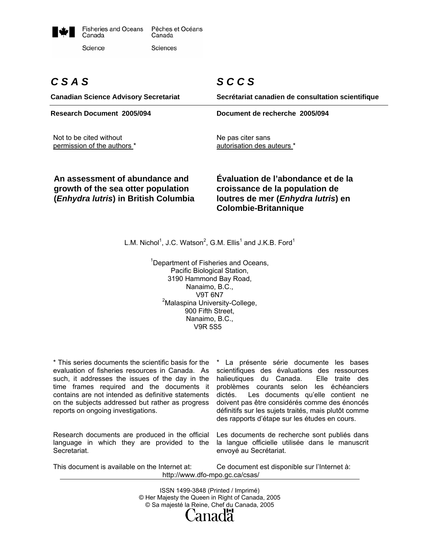

# *C S A S*

*S C C S* 

**Canadian Science Advisory Secretariat Secrétariat canadien de consultation scientifique Research Document 2005/094 Document de recherche 2005/094**  Not to be cited without permission of the authors \* Ne pas citer sans autorisation des auteurs \* **An assessment of abundance and Évaluation de l'abondance et de la** 

**growth of the sea otter population (***Enhydra lutris***) in British Columbia**  **croissance de la population de loutres de mer (***Enhydra lutris***) en Colombie-Britannique** 

L.M. Nichol<sup>1</sup>, J.C. Watson<sup>2</sup>, G.M. Ellis<sup>1</sup> and J.K.B. Ford<sup>1</sup>

<sup>1</sup>Department of Fisheries and Oceans, Pacific Biological Station, 3190 Hammond Bay Road, Nanaimo, B.C., V9T 6N7 <sup>2</sup>Malaspina University-College, 900 Fifth Street, Nanaimo, B.C., V9R 5S5

\* This series documents the scientific basis for the evaluation of fisheries resources in Canada. As such, it addresses the issues of the day in the time frames required and the documents it contains are not intended as definitive statements on the subjects addressed but rather as progress reports on ongoing investigations.

Research documents are produced in the official language in which they are provided to the Secretariat.

\* La présente série documente les bases scientifiques des évaluations des ressources halieutiques du Canada. Elle traite des problèmes courants selon les échéanciers dictés. Les documents qu'elle contient ne doivent pas être considérés comme des énoncés définitifs sur les sujets traités, mais plutôt comme des rapports d'étape sur les études en cours.

Les documents de recherche sont publiés dans la langue officielle utilisée dans le manuscrit envoyé au Secrétariat.

This document is available on the Internet at: Ce document est disponible sur l'Internet à: http://www.dfo-mpo.gc.ca/csas/

> ISSN 1499-3848 (Printed / Imprimé) © Her Majesty the Queen in Right of Canada, 2005 © Sa majesté la Reine, Chef du Canada, 2005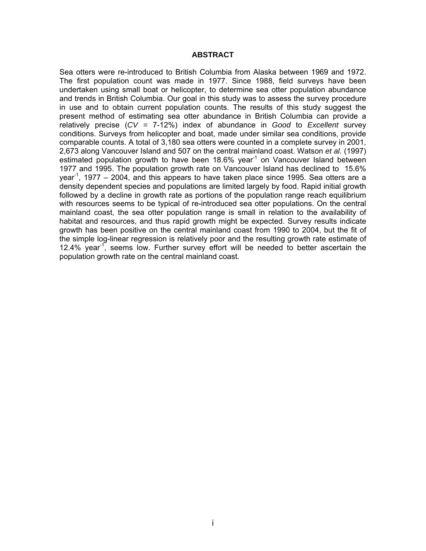## **ABSTRACT**

Sea otters were re-introduced to British Columbia from Alaska between 1969 and 1972. The first population count was made in 1977. Since 1988, field surveys have been undertaken using small boat or helicopter, to determine sea otter population abundance and trends in British Columbia. Our goal in this study was to assess the survey procedure in use and to obtain current population counts. The results of this study suggest the present method of estimating sea otter abundance in British Columbia can provide a relatively precise (*CV =* 7-12%) index of abundance in *Good* to *Excellent* survey conditions. Surveys from helicopter and boat, made under similar sea conditions, provide comparable counts. A total of 3,180 sea otters were counted in a complete survey in 2001, 2,673 along Vancouver Island and 507 on the central mainland coast. Watson *et al.* (1997) estimated population growth to have been  $18.6\%$  year<sup>-1</sup> on Vancouver Island between 1977 and 1995. The population growth rate on Vancouver Island has declined to 15.6% year<sup>-1</sup>, 1977 – 2004, and this appears to have taken place since 1995. Sea otters are a density dependent species and populations are limited largely by food. Rapid initial growth followed by a decline in growth rate as portions of the population range reach equilibrium with resources seems to be typical of re-introduced sea otter populations. On the central mainland coast, the sea otter population range is small in relation to the availability of habitat and resources, and thus rapid growth might be expected. Survey results indicate growth has been positive on the central mainland coast from 1990 to 2004, but the fit of the simple log-linear regression is relatively poor and the resulting growth rate estimate of 12.4% year<sup>-1</sup>, seems low. Further survey effort will be needed to better ascertain the population growth rate on the central mainland coast.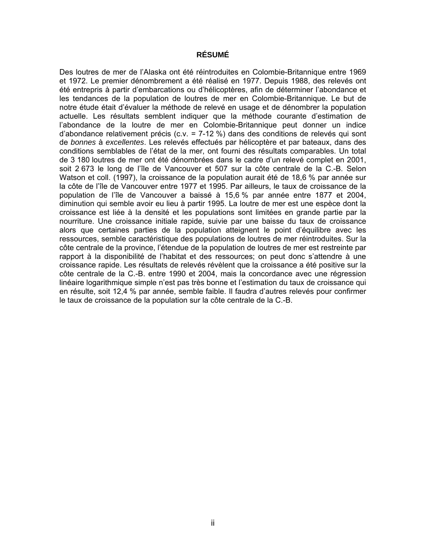# **RÉSUMÉ**

Des loutres de mer de l'Alaska ont été réintroduites en Colombie-Britannique entre 1969 et 1972. Le premier dénombrement a été réalisé en 1977. Depuis 1988, des relevés ont été entrepris à partir d'embarcations ou d'hélicoptères, afin de déterminer l'abondance et les tendances de la population de loutres de mer en Colombie-Britannique. Le but de notre étude était d'évaluer la méthode de relevé en usage et de dénombrer la population actuelle. Les résultats semblent indiquer que la méthode courante d'estimation de l'abondance de la loutre de mer en Colombie-Britannique peut donner un indice d'abondance relativement précis (c.v. = 7-12 %) dans des conditions de relevés qui sont de *bonnes* à *excellentes*. Les relevés effectués par hélicoptère et par bateaux, dans des conditions semblables de l'état de la mer, ont fourni des résultats comparables. Un total de 3 180 loutres de mer ont été dénombrées dans le cadre d'un relevé complet en 2001, soit 2 673 le long de l'île de Vancouver et 507 sur la côte centrale de la C.-B. Selon Watson et coll. (1997), la croissance de la population aurait été de 18,6 % par année sur la côte de l'île de Vancouver entre 1977 et 1995. Par ailleurs, le taux de croissance de la population de l'île de Vancouver a baissé à 15,6 % par année entre 1877 et 2004, diminution qui semble avoir eu lieu à partir 1995. La loutre de mer est une espèce dont la croissance est liée à la densité et les populations sont limitées en grande partie par la nourriture. Une croissance initiale rapide, suivie par une baisse du taux de croissance alors que certaines parties de la population atteignent le point d'équilibre avec les ressources, semble caractéristique des populations de loutres de mer réintroduites. Sur la côte centrale de la province, l'étendue de la population de loutres de mer est restreinte par rapport à la disponibilité de l'habitat et des ressources; on peut donc s'attendre à une croissance rapide. Les résultats de relevés révèlent que la croissance a été positive sur la côte centrale de la C.-B. entre 1990 et 2004, mais la concordance avec une régression linéaire logarithmique simple n'est pas très bonne et l'estimation du taux de croissance qui en résulte, soit 12,4 % par année, semble faible. Il faudra d'autres relevés pour confirmer le taux de croissance de la population sur la côte centrale de la C.-B.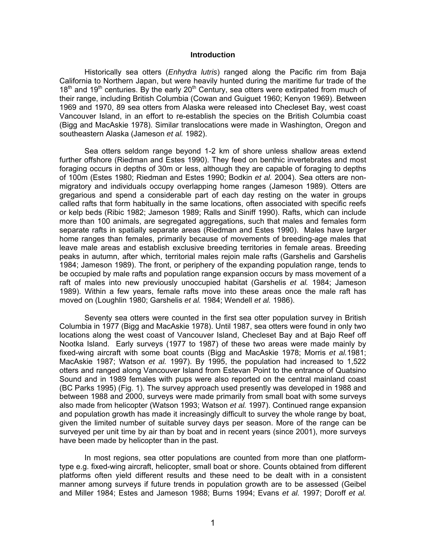# **Introduction**

Historically sea otters (*Enhydra lutris*) ranged along the Pacific rim from Baja California to Northern Japan, but were heavily hunted during the maritime fur trade of the  $18<sup>th</sup>$  and  $19<sup>th</sup>$  centuries. By the early  $20<sup>th</sup>$  Century, sea otters were extirpated from much of their range, including British Columbia (Cowan and Guiguet 1960; Kenyon 1969). Between 1969 and 1970, 89 sea otters from Alaska were released into Checleset Bay, west coast Vancouver Island, in an effort to re-establish the species on the British Columbia coast (Bigg and MacAskie 1978). Similar translocations were made in Washington, Oregon and southeastern Alaska (Jameson *et al.* 1982).

Sea otters seldom range beyond 1-2 km of shore unless shallow areas extend further offshore (Riedman and Estes 1990). They feed on benthic invertebrates and most foraging occurs in depths of 30m or less, although they are capable of foraging to depths of 100m (Estes 1980; Riedman and Estes 1990; Bodkin *et al.* 2004). Sea otters are nonmigratory and individuals occupy overlapping home ranges (Jameson 1989). Otters are gregarious and spend a considerable part of each day resting on the water in groups called rafts that form habitually in the same locations, often associated with specific reefs or kelp beds (Ribic 1982; Jameson 1989; Ralls and Siniff 1990). Rafts, which can include more than 100 animals, are segregated aggregations, such that males and females form separate rafts in spatially separate areas (Riedman and Estes 1990). Males have larger home ranges than females, primarily because of movements of breeding-age males that leave male areas and establish exclusive breeding territories in female areas. Breeding peaks in autumn, after which, territorial males rejoin male rafts (Garshelis and Garshelis 1984; Jameson 1989). The front, or periphery of the expanding population range, tends to be occupied by male rafts and population range expansion occurs by mass movement of a raft of males into new previously unoccupied habitat (Garshelis *et al.* 1984; Jameson 1989). Within a few years, female rafts move into these areas once the male raft has moved on (Loughlin 1980; Garshelis *et al.* 1984; Wendell *et al.* 1986).

Seventy sea otters were counted in the first sea otter population survey in British Columbia in 1977 (Bigg and MacAskie 1978). Until 1987, sea otters were found in only two locations along the west coast of Vancouver Island, Checleset Bay and at Bajo Reef off Nootka Island. Early surveys (1977 to 1987) of these two areas were made mainly by fixed-wing aircraft with some boat counts (Bigg and MacAskie 1978; Morris *et al.*1981; MacAskie 1987; Watson *et al.* 1997). By 1995, the population had increased to 1,522 otters and ranged along Vancouver Island from Estevan Point to the entrance of Quatsino Sound and in 1989 females with pups were also reported on the central mainland coast (BC Parks 1995) (Fig. 1). The survey approach used presently was developed in 1988 and between 1988 and 2000, surveys were made primarily from small boat with some surveys also made from helicopter (Watson 1993; Watson *et al.* 1997). Continued range expansion and population growth has made it increasingly difficult to survey the whole range by boat, given the limited number of suitable survey days per season. More of the range can be surveyed per unit time by air than by boat and in recent years (since 2001), more surveys have been made by helicopter than in the past.

In most regions, sea otter populations are counted from more than one platformtype e.g. fixed-wing aircraft, helicopter, small boat or shore. Counts obtained from different platforms often yield different results and these need to be dealt with in a consistent manner among surveys if future trends in population growth are to be assessed (Geibel and Miller 1984; Estes and Jameson 1988; Burns 1994; Evans *et al.* 1997; Doroff *et al.*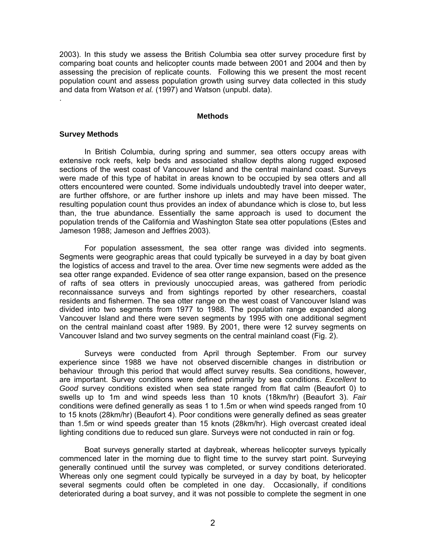2003). In this study we assess the British Columbia sea otter survey procedure first by comparing boat counts and helicopter counts made between 2001 and 2004 and then by assessing the precision of replicate counts. Following this we present the most recent population count and assess population growth using survey data collected in this study and data from Watson *et al.* (1997) and Watson (unpubl. data).

#### **Methods**

#### **Survey Methods**

.

In British Columbia, during spring and summer, sea otters occupy areas with extensive rock reefs, kelp beds and associated shallow depths along rugged exposed sections of the west coast of Vancouver Island and the central mainland coast. Surveys were made of this type of habitat in areas known to be occupied by sea otters and all otters encountered were counted. Some individuals undoubtedly travel into deeper water, are further offshore, or are further inshore up inlets and may have been missed. The resulting population count thus provides an index of abundance which is close to, but less than, the true abundance. Essentially the same approach is used to document the population trends of the California and Washington State sea otter populations (Estes and Jameson 1988; Jameson and Jeffries 2003).

For population assessment, the sea otter range was divided into segments. Segments were geographic areas that could typically be surveyed in a day by boat given the logistics of access and travel to the area. Over time new segments were added as the sea otter range expanded. Evidence of sea otter range expansion, based on the presence of rafts of sea otters in previously unoccupied areas, was gathered from periodic reconnaissance surveys and from sightings reported by other researchers, coastal residents and fishermen. The sea otter range on the west coast of Vancouver Island was divided into two segments from 1977 to 1988. The population range expanded along Vancouver Island and there were seven segments by 1995 with one additional segment on the central mainland coast after 1989. By 2001, there were 12 survey segments on Vancouver Island and two survey segments on the central mainland coast (Fig. 2).

Surveys were conducted from April through September. From our survey experience since 1988 we have not observed discernible changes in distribution or behaviour through this period that would affect survey results. Sea conditions, however, are important. Survey conditions were defined primarily by sea conditions. *Excellent* to *Good* survey conditions existed when sea state ranged from flat calm (Beaufort 0) to swells up to 1m and wind speeds less than 10 knots (18km/hr) (Beaufort 3). *Fair* conditions were defined generally as seas 1 to 1.5m or when wind speeds ranged from 10 to 15 knots (28km/hr) (Beaufort 4). Poor conditions were generally defined as seas greater than 1.5m or wind speeds greater than 15 knots (28km/hr). High overcast created ideal lighting conditions due to reduced sun glare. Surveys were not conducted in rain or fog.

Boat surveys generally started at daybreak, whereas helicopter surveys typically commenced later in the morning due to flight time to the survey start point. Surveying generally continued until the survey was completed, or survey conditions deteriorated. Whereas only one segment could typically be surveyed in a day by boat, by helicopter several segments could often be completed in one day. Occasionally, if conditions deteriorated during a boat survey, and it was not possible to complete the segment in one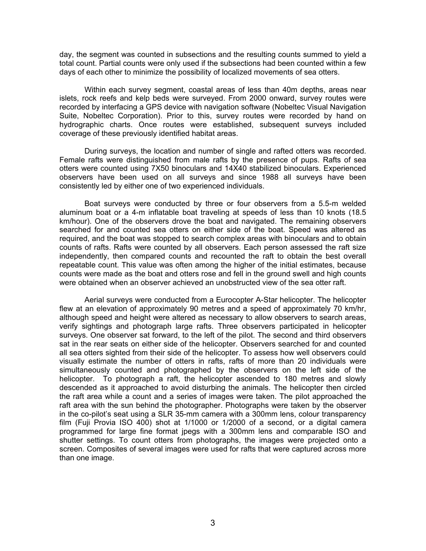day, the segment was counted in subsections and the resulting counts summed to yield a total count. Partial counts were only used if the subsections had been counted within a few days of each other to minimize the possibility of localized movements of sea otters.

Within each survey segment, coastal areas of less than 40m depths, areas near islets, rock reefs and kelp beds were surveyed. From 2000 onward, survey routes were recorded by interfacing a GPS device with navigation software (Nobeltec Visual Navigation Suite, Nobeltec Corporation). Prior to this, survey routes were recorded by hand on hydrographic charts. Once routes were established, subsequent surveys included coverage of these previously identified habitat areas.

During surveys, the location and number of single and rafted otters was recorded. Female rafts were distinguished from male rafts by the presence of pups. Rafts of sea otters were counted using 7X50 binoculars and 14X40 stabilized binoculars. Experienced observers have been used on all surveys and since 1988 all surveys have been consistently led by either one of two experienced individuals.

Boat surveys were conducted by three or four observers from a 5.5-m welded aluminum boat or a 4-m inflatable boat traveling at speeds of less than 10 knots (18.5 km/hour). One of the observers drove the boat and navigated. The remaining observers searched for and counted sea otters on either side of the boat. Speed was altered as required, and the boat was stopped to search complex areas with binoculars and to obtain counts of rafts. Rafts were counted by all observers. Each person assessed the raft size independently, then compared counts and recounted the raft to obtain the best overall repeatable count. This value was often among the higher of the initial estimates, because counts were made as the boat and otters rose and fell in the ground swell and high counts were obtained when an observer achieved an unobstructed view of the sea otter raft.

Aerial surveys were conducted from a Eurocopter A-Star helicopter. The helicopter flew at an elevation of approximately 90 metres and a speed of approximately 70 km/hr, although speed and height were altered as necessary to allow observers to search areas, verify sightings and photograph large rafts. Three observers participated in helicopter surveys. One observer sat forward, to the left of the pilot. The second and third observers sat in the rear seats on either side of the helicopter. Observers searched for and counted all sea otters sighted from their side of the helicopter. To assess how well observers could visually estimate the number of otters in rafts, rafts of more than 20 individuals were simultaneously counted and photographed by the observers on the left side of the helicopter. To photograph a raft, the helicopter ascended to 180 metres and slowly descended as it approached to avoid disturbing the animals. The helicopter then circled the raft area while a count and a series of images were taken. The pilot approached the raft area with the sun behind the photographer. Photographs were taken by the observer in the co-pilot's seat using a SLR 35-mm camera with a 300mm lens, colour transparency film (Fuji Provia ISO 400) shot at 1/1000 or 1/2000 of a second, or a digital camera programmed for large fine format jpegs with a 300mm lens and comparable ISO and shutter settings. To count otters from photographs, the images were projected onto a screen. Composites of several images were used for rafts that were captured across more than one image.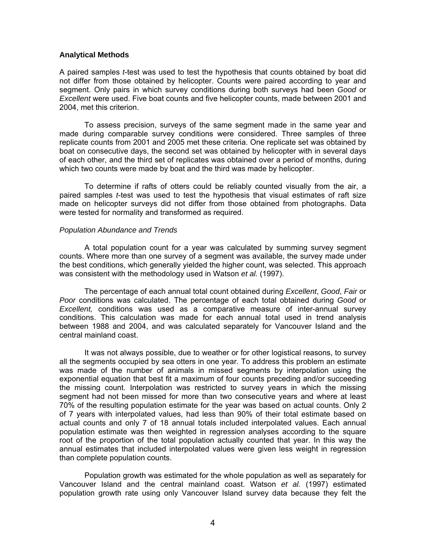## **Analytical Methods**

A paired samples *t*-test was used to test the hypothesis that counts obtained by boat did not differ from those obtained by helicopter. Counts were paired according to year and segment. Only pairs in which survey conditions during both surveys had been *Good* or *Excellent* were used. Five boat counts and five helicopter counts, made between 2001 and 2004, met this criterion.

To assess precision, surveys of the same segment made in the same year and made during comparable survey conditions were considered. Three samples of three replicate counts from 2001 and 2005 met these criteria. One replicate set was obtained by boat on consecutive days, the second set was obtained by helicopter with in several days of each other, and the third set of replicates was obtained over a period of months, during which two counts were made by boat and the third was made by helicopter.

To determine if rafts of otters could be reliably counted visually from the air, a paired samples *t*-test was used to test the hypothesis that visual estimates of raft size made on helicopter surveys did not differ from those obtained from photographs. Data were tested for normality and transformed as required.

## *Population Abundance and Trends*

A total population count for a year was calculated by summing survey segment counts. Where more than one survey of a segment was available, the survey made under the best conditions, which generally yielded the higher count, was selected. This approach was consistent with the methodology used in Watson *et al.* (1997).

The percentage of each annual total count obtained during *Excellent*, *Good*, *Fair* or *Poor* conditions was calculated. The percentage of each total obtained during *Good* or *Excellent,* conditions was used as a comparative measure of inter-annual survey conditions. This calculation was made for each annual total used in trend analysis between 1988 and 2004, and was calculated separately for Vancouver Island and the central mainland coast.

It was not always possible, due to weather or for other logistical reasons, to survey all the segments occupied by sea otters in one year. To address this problem an estimate was made of the number of animals in missed segments by interpolation using the exponential equation that best fit a maximum of four counts preceding and/or succeeding the missing count. Interpolation was restricted to survey years in which the missing segment had not been missed for more than two consecutive years and where at least 70% of the resulting population estimate for the year was based on actual counts. Only 2 of 7 years with interpolated values, had less than 90% of their total estimate based on actual counts and only 7 of 18 annual totals included interpolated values. Each annual population estimate was then weighted in regression analyses according to the square root of the proportion of the total population actually counted that year. In this way the annual estimates that included interpolated values were given less weight in regression than complete population counts.

Population growth was estimated for the whole population as well as separately for Vancouver Island and the central mainland coast. Watson *et al.* (1997) estimated population growth rate using only Vancouver Island survey data because they felt the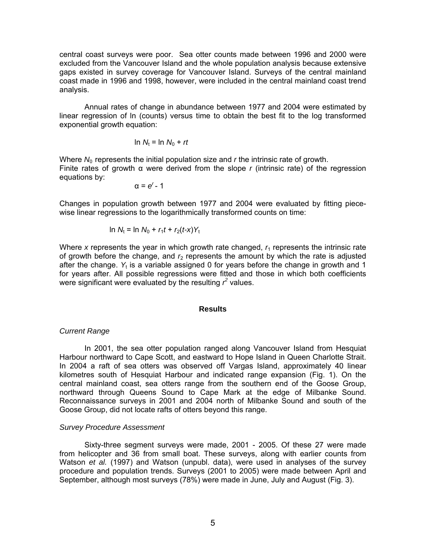central coast surveys were poor. Sea otter counts made between 1996 and 2000 were excluded from the Vancouver Island and the whole population analysis because extensive gaps existed in survey coverage for Vancouver Island. Surveys of the central mainland coast made in 1996 and 1998, however, were included in the central mainland coast trend analysis.

Annual rates of change in abundance between 1977 and 2004 were estimated by linear regression of ln (counts) versus time to obtain the best fit to the log transformed exponential growth equation:

$$
\ln N_t = \ln N_0 + rt
$$

Where  $N_0$  represents the initial population size and  $r$  the intrinsic rate of growth. Finite rates of growth α were derived from the slope *r* (intrinsic rate) of the regression equations by:

$$
\alpha = e^r - 1
$$

Changes in population growth between 1977 and 2004 were evaluated by fitting piecewise linear regressions to the logarithmically transformed counts on time:

In 
$$
N_t = \ln N_0 + r_1 t + r_2(t - x) Y_t
$$

Where x represents the year in which growth rate changed,  $r_1$  represents the intrinsic rate of growth before the change, and  $r<sub>2</sub>$  represents the amount by which the rate is adjusted after the change. Y<sub>t</sub> is a variable assigned 0 for years before the change in growth and 1 for years after. All possible regressions were fitted and those in which both coefficients were significant were evaluated by the resulting  $r^2$  values.

#### **Results**

#### *Current Range*

In 2001, the sea otter population ranged along Vancouver Island from Hesquiat Harbour northward to Cape Scott, and eastward to Hope Island in Queen Charlotte Strait. In 2004 a raft of sea otters was observed off Vargas Island, approximately 40 linear kilometres south of Hesquiat Harbour and indicated range expansion (Fig. 1). On the central mainland coast, sea otters range from the southern end of the Goose Group, northward through Queens Sound to Cape Mark at the edge of Milbanke Sound. Reconnaissance surveys in 2001 and 2004 north of Milbanke Sound and south of the Goose Group, did not locate rafts of otters beyond this range.

#### *Survey Procedure Assessment*

Sixty-three segment surveys were made, 2001 - 2005. Of these 27 were made from helicopter and 36 from small boat. These surveys, along with earlier counts from Watson *et al.* (1997) and Watson (unpubl. data), were used in analyses of the survey procedure and population trends. Surveys (2001 to 2005) were made between April and September, although most surveys (78%) were made in June, July and August (Fig. 3).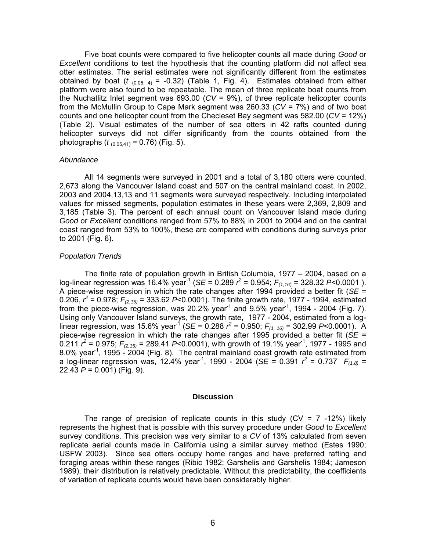Five boat counts were compared to five helicopter counts all made during *Good* or *Excellent* conditions to test the hypothesis that the counting platform did not affect sea otter estimates. The aerial estimates were not significantly different from the estimates obtained by boat ( $t$   $_{(0.05, 4)}$  = -0.32) (Table 1, Fig. 4). Estimates obtained from either platform were also found to be repeatable. The mean of three replicate boat counts from the Nuchatlitz Inlet segment was 693.00 (*CV* = 9%), of three replicate helicopter counts from the McMullin Group to Cape Mark segment was 260.33 (*CV* = 7%) and of two boat counts and one helicopter count from the Checleset Bay segment was 582.00 (*CV* = 12%) (Table 2). Visual estimates of the number of sea otters in 42 rafts counted during helicopter surveys did not differ significantly from the counts obtained from the photographs ( $t_{(0.05,41)}$  = 0.76) (Fig. 5).

#### *Abundance*

All 14 segments were surveyed in 2001 and a total of 3,180 otters were counted, 2,673 along the Vancouver Island coast and 507 on the central mainland coast. In 2002, 2003 and 2004,13,13 and 11 segments were surveyed respectively. Including interpolated values for missed segments, population estimates in these years were 2,369, 2,809 and 3,185 (Table 3). The percent of each annual count on Vancouver Island made during *Good* or *Excellent* conditions ranged from 57% to 88% in 2001 to 2004 and on the central coast ranged from 53% to 100%, these are compared with conditions during surveys prior to 2001 (Fig. 6).

#### *Population Trends*

The finite rate of population growth in British Columbia, 1977 – 2004, based on a log-linear regression was 16.4% year<sup>-1</sup> (*SE* = 0.289  $r^2$  = 0.954;  $F_{(1,16)}$  = 328.32 P<0.0001 ). A piece-wise regression in which the rate changes after 1994 provided a better fit (*SE* = 0.206,  $r^2$  = 0.978;  $F_{(2,15)}$  = 333.62 P<0.0001). The finite growth rate, 1977 - 1994, estimated from the piece-wise regression, was 20.2% year<sup>-1</sup> and 9.5% year<sup>-1</sup>, 1994 - 2004 (Fig. 7). Using only Vancouver Island surveys, the growth rate, 1977 - 2004, estimated from a loglinear regression, was 15.6% year<sup>-1</sup> (*SE* = 0.288  $r^2$  = 0.950;  $F_{(1, 16)}$  = 302.99 P<0.0001). A piece-wise regression in which the rate changes after 1995 provided a better fit (*SE* = 0.211  $r^2$  = 0.975;  $F_{(2,15)}$  = 289.41 P<0.0001), with growth of 19.1% year<sup>-1</sup>, 1977 - 1995 and 8.0% year<sup>-1</sup>, 1995 - 2004 (Fig. 8). The central mainland coast growth rate estimated from a log-linear regression was, 12.4% year<sup>-1</sup>, 1990 - 2004 (*SE* = 0.391  $r^2$  = 0.737  $F_{(1,8)}$  = 22.43 *P* = 0.001) (Fig. 9).

#### **Discussion**

The range of precision of replicate counts in this study ( $CV = 7 -12\%$ ) likely represents the highest that is possible with this survey procedure under *Good* to *Excellent*  survey conditions. This precision was very similar to a *CV* of 13% calculated from seven replicate aerial counts made in California using a similar survey method (Estes 1990; USFW 2003). Since sea otters occupy home ranges and have preferred rafting and foraging areas within these ranges (Ribic 1982; Garshelis and Garshelis 1984; Jameson 1989), their distribution is relatively predictable. Without this predictability, the coefficients of variation of replicate counts would have been considerably higher.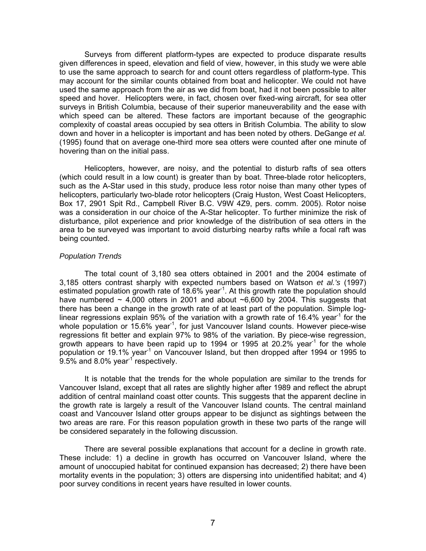Surveys from different platform-types are expected to produce disparate results given differences in speed, elevation and field of view, however, in this study we were able to use the same approach to search for and count otters regardless of platform-type. This may account for the similar counts obtained from boat and helicopter. We could not have used the same approach from the air as we did from boat, had it not been possible to alter speed and hover. Helicopters were, in fact, chosen over fixed-wing aircraft, for sea otter surveys in British Columbia, because of their superior maneuverability and the ease with which speed can be altered. These factors are important because of the geographic complexity of coastal areas occupied by sea otters in British Columbia. The ability to slow down and hover in a helicopter is important and has been noted by others. DeGange *et al.* (1995) found that on average one-third more sea otters were counted after one minute of hovering than on the initial pass.

Helicopters, however, are noisy, and the potential to disturb rafts of sea otters (which could result in a low count) is greater than by boat. Three-blade rotor helicopters, such as the A-Star used in this study, produce less rotor noise than many other types of helicopters, particularly two-blade rotor helicopters (Craig Huston, West Coast Helicopters, Box 17, 2901 Spit Rd., Campbell River B.C. V9W 4Z9, pers. comm. 2005). Rotor noise was a consideration in our choice of the A-Star helicopter. To further minimize the risk of disturbance, pilot experience and prior knowledge of the distribution of sea otters in the area to be surveyed was important to avoid disturbing nearby rafts while a focal raft was being counted.

# *Population Trends*

The total count of 3,180 sea otters obtained in 2001 and the 2004 estimate of 3,185 otters contrast sharply with expected numbers based on Watson *et al.'s* (1997) estimated population growth rate of 18.6% year<sup>-1</sup>. At this growth rate the population should have numbered  $\sim$  4,000 otters in 2001 and about  $\sim$ 6,600 by 2004. This suggests that there has been a change in the growth rate of at least part of the population. Simple loglinear regressions explain 95% of the variation with a growth rate of 16.4% year<sup>-1</sup> for the whole population or  $15.6\%$  year<sup>-1</sup>, for just Vancouver Island counts. However piece-wise regressions fit better and explain 97% to 98% of the variation. By piece-wise regression, growth appears to have been rapid up to 1994 or 1995 at 20.2% year<sup>-1</sup> for the whole population or 19.1% year<sup>1</sup> on Vancouver Island, but then dropped after 1994 or 1995 to 9.5% and 8.0% year<sup>-1</sup> respectively.

It is notable that the trends for the whole population are similar to the trends for Vancouver Island, except that all rates are slightly higher after 1989 and reflect the abrupt addition of central mainland coast otter counts. This suggests that the apparent decline in the growth rate is largely a result of the Vancouver Island counts. The central mainland coast and Vancouver Island otter groups appear to be disjunct as sightings between the two areas are rare. For this reason population growth in these two parts of the range will be considered separately in the following discussion.

There are several possible explanations that account for a decline in growth rate. These include: 1) a decline in growth has occurred on Vancouver Island, where the amount of unoccupied habitat for continued expansion has decreased; 2) there have been mortality events in the population; 3) otters are dispersing into unidentified habitat; and 4) poor survey conditions in recent years have resulted in lower counts.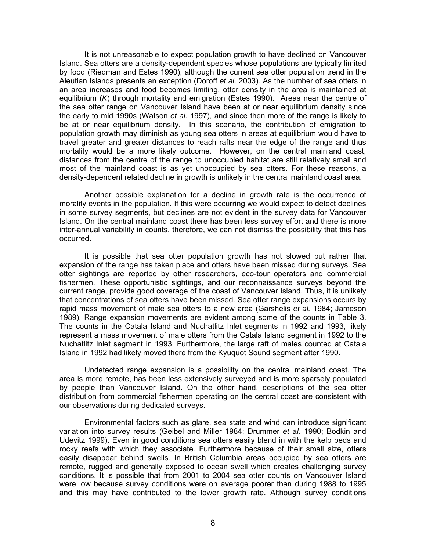It is not unreasonable to expect population growth to have declined on Vancouver Island. Sea otters are a density-dependent species whose populations are typically limited by food (Riedman and Estes 1990), although the current sea otter population trend in the Aleutian Islands presents an exception (Doroff *et al.* 2003). As the number of sea otters in an area increases and food becomes limiting, otter density in the area is maintained at equilibrium (*K*) through mortality and emigration (Estes 1990). Areas near the centre of the sea otter range on Vancouver Island have been at or near equilibrium density since the early to mid 1990s (Watson *et al.* 1997), and since then more of the range is likely to be at or near equilibrium density. In this scenario, the contribution of emigration to population growth may diminish as young sea otters in areas at equilibrium would have to travel greater and greater distances to reach rafts near the edge of the range and thus mortality would be a more likely outcome. However, on the central mainland coast, distances from the centre of the range to unoccupied habitat are still relatively small and most of the mainland coast is as yet unoccupied by sea otters. For these reasons, a density-dependent related decline in growth is unlikely in the central mainland coast area.

Another possible explanation for a decline in growth rate is the occurrence of morality events in the population. If this were occurring we would expect to detect declines in some survey segments, but declines are not evident in the survey data for Vancouver Island. On the central mainland coast there has been less survey effort and there is more inter-annual variability in counts, therefore, we can not dismiss the possibility that this has occurred.

It is possible that sea otter population growth has not slowed but rather that expansion of the range has taken place and otters have been missed during surveys. Sea otter sightings are reported by other researchers, eco-tour operators and commercial fishermen. These opportunistic sightings, and our reconnaissance surveys beyond the current range, provide good coverage of the coast of Vancouver Island. Thus, it is unlikely that concentrations of sea otters have been missed. Sea otter range expansions occurs by rapid mass movement of male sea otters to a new area (Garshelis *et al.* 1984; Jameson 1989). Range expansion movements are evident among some of the counts in Table 3. The counts in the Catala Island and Nuchatlitz Inlet segments in 1992 and 1993, likely represent a mass movement of male otters from the Catala Island segment in 1992 to the Nuchatlitz Inlet segment in 1993. Furthermore, the large raft of males counted at Catala Island in 1992 had likely moved there from the Kyuquot Sound segment after 1990.

Undetected range expansion is a possibility on the central mainland coast. The area is more remote, has been less extensively surveyed and is more sparsely populated by people than Vancouver Island. On the other hand, descriptions of the sea otter distribution from commercial fishermen operating on the central coast are consistent with our observations during dedicated surveys.

Environmental factors such as glare, sea state and wind can introduce significant variation into survey results (Geibel and Miller 1984; Drummer *et al.* 1990; Bodkin and Udevitz 1999). Even in good conditions sea otters easily blend in with the kelp beds and rocky reefs with which they associate. Furthermore because of their small size, otters easily disappear behind swells. In British Columbia areas occupied by sea otters are remote, rugged and generally exposed to ocean swell which creates challenging survey conditions. It is possible that from 2001 to 2004 sea otter counts on Vancouver Island were low because survey conditions were on average poorer than during 1988 to 1995 and this may have contributed to the lower growth rate. Although survey conditions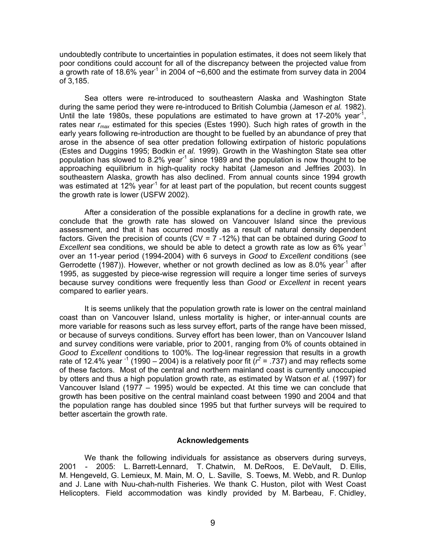undoubtedly contribute to uncertainties in population estimates, it does not seem likely that poor conditions could account for all of the discrepancy between the projected value from a growth rate of 18.6% year<sup>-1</sup> in 2004 of  $\sim 6,600$  and the estimate from survey data in 2004 of 3,185.

Sea otters were re-introduced to southeastern Alaska and Washington State during the same period they were re-introduced to British Columbia (Jameson *et al.* 1982). Until the late 1980s, these populations are estimated to have grown at 17-20% year<sup>-1</sup>, rates near *rmax* estimated for this species (Estes 1990). Such high rates of growth in the early years following re-introduction are thought to be fuelled by an abundance of prey that arose in the absence of sea otter predation following extirpation of historic populations (Estes and Duggins 1995; Bodkin *et al.* 1999). Growth in the Washington State sea otter population has slowed to 8.2% year<sup>-1</sup> since 1989 and the population is now thought to be approaching equilibrium in high-quality rocky habitat (Jameson and Jeffries 2003). In southeastern Alaska, growth has also declined. From annual counts since 1994 growth was estimated at 12% year<sup>-1</sup> for at least part of the population, but recent counts suggest the growth rate is lower (USFW 2002).

After a consideration of the possible explanations for a decline in growth rate, we conclude that the growth rate has slowed on Vancouver Island since the previous assessment, and that it has occurred mostly as a result of natural density dependent factors. Given the precision of counts (CV = 7 -12%) that can be obtained during *Good* to *Excellent* sea conditions, we should be able to detect a growth rate as low as 6% year<sup>1</sup> over an 11-year period (1994-2004) with 6 surveys in *Good* to *Excellent* conditions (see Gerrodette (1987)). However, whether or not growth declined as low as 8.0% year<sup>-1</sup> after 1995, as suggested by piece-wise regression will require a longer time series of surveys because survey conditions were frequently less than *Good* or *Excellent* in recent years compared to earlier years.

It is seems unlikely that the population growth rate is lower on the central mainland coast than on Vancouver Island, unless mortality is higher, or inter-annual counts are more variable for reasons such as less survey effort, parts of the range have been missed, or because of surveys conditions. Survey effort has been lower, than on Vancouver Island and survey conditions were variable, prior to 2001, ranging from 0% of counts obtained in *Good* to *Excellent* conditions to 100%. The log-linear regression that results in a growth rate of 12.4% year <sup>-1</sup> (1990 – 2004) is a relatively poor fit ( $r^2$  = .737) and may reflects some of these factors. Most of the central and northern mainland coast is currently unoccupied by otters and thus a high population growth rate, as estimated by Watson *et al.* (1997) for Vancouver Island (1977 – 1995) would be expected. At this time we can conclude that growth has been positive on the central mainland coast between 1990 and 2004 and that the population range has doubled since 1995 but that further surveys will be required to better ascertain the growth rate.

#### **Acknowledgements**

We thank the following individuals for assistance as observers during surveys, 2001 - 2005: L. Barrett-Lennard, T. Chatwin, M. DeRoos, E. DeVault, D. Ellis, M. Hengeveld, G. Lemieux, M. Main, M. O, L. Saville, S. Toews, M. Webb, and R. Dunlop and J. Lane with Nuu-chah-nulth Fisheries. We thank C. Huston, pilot with West Coast Helicopters. Field accommodation was kindly provided by M. Barbeau, F. Chidley,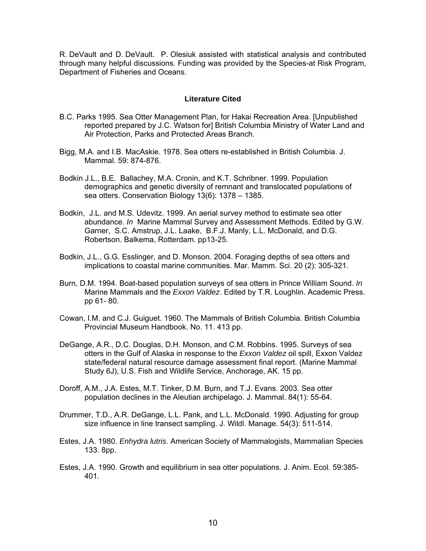R. DeVault and D. DeVault. P. Olesiuk assisted with statistical analysis and contributed through many helpful discussions. Funding was provided by the Species-at Risk Program, Department of Fisheries and Oceans.

# **Literature Cited**

- B.C. Parks 1995. Sea Otter Management Plan, for Hakai Recreation Area. [Unpublished reported prepared by J.C. Watson for] British Columbia Ministry of Water Land and Air Protection, Parks and Protected Areas Branch.
- Bigg, M.A. and I.B. MacAskie. 1978. Sea otters re-established in British Columbia. J. Mammal. 59: 874-876.
- Bodkin J.L., B.E. Ballachey, M.A. Cronin, and K.T. Schribner. 1999. Population demographics and genetic diversity of remnant and translocated populations of sea otters. Conservation Biology 13(6): 1378 – 1385.
- Bodkin, J.L. and M.S. Udevitz. 1999. An aerial survey method to estimate sea otter abundance. *In* Marine Mammal Survey and Assessment Methods. Edited by G.W. Garner, S.C. Amstrup, J.L. Laake, B.F.J. Manly, L.L. McDonald, and D.G. Robertson. Balkema, Rotterdam. pp13-25.
- Bodkin, J.L., G.G. Esslinger, and D. Monson. 2004. Foraging depths of sea otters and implications to coastal marine communities. Mar. Mamm. Sci. 20 (2): 305-321.
- Burn, D.M. 1994. Boat-based population surveys of sea otters in Prince William Sound. *In*  Marine Mammals and the *Exxon Valdez*. Edited by T.R. Loughlin. Academic Press. pp 61- 80.
- Cowan, I.M. and C.J. Guiguet. 1960. The Mammals of British Columbia. British Columbia Provincial Museum Handbook. No. 11. 413 pp.
- DeGange, A.R., D.C. Douglas, D.H. Monson, and C.M. Robbins. 1995. Surveys of sea otters in the Gulf of Alaska in response to the *Exxon Valdez* oil spill, Exxon Valdez state/federal natural resource damage assessment final report. (Marine Mammal Study 6J), U.S. Fish and Wildlife Service, Anchorage, AK. 15 pp.
- Doroff, A.M., J.A. Estes, M.T. Tinker, D.M. Burn, and T.J. Evans. 2003. Sea otter population declines in the Aleutian archipelago. J. Mammal. 84(1): 55-64.
- Drummer, T.D., A.R. DeGange, L.L. Pank, and L.L. McDonald. 1990. Adjusting for group size influence in line transect sampling. J. Wildl. Manage. 54(3): 511-514.
- Estes, J.A. 1980. *Enhydra lutris*. American Society of Mammalogists, Mammalian Species 133. 8pp.
- Estes, J.A. 1990. Growth and equilibrium in sea otter populations. J. Anim. Ecol. 59:385- 401.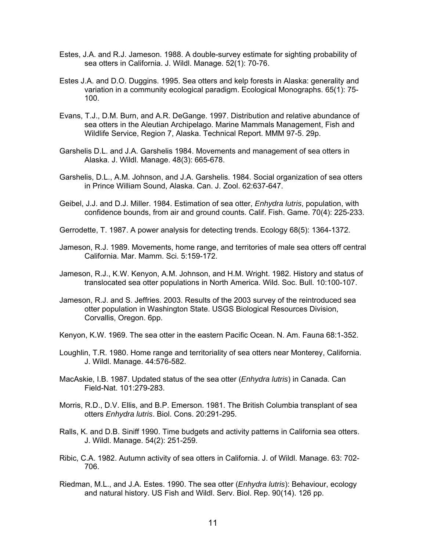- Estes, J.A. and R.J. Jameson. 1988. A double-survey estimate for sighting probability of sea otters in California. J. Wildl. Manage. 52(1): 70-76.
- Estes J.A. and D.O. Duggins. 1995. Sea otters and kelp forests in Alaska: generality and variation in a community ecological paradigm. Ecological Monographs. 65(1): 75- 100.
- Evans, T.J., D.M. Burn, and A.R. DeGange. 1997. Distribution and relative abundance of sea otters in the Aleutian Archipelago. Marine Mammals Management, Fish and Wildlife Service, Region 7, Alaska. Technical Report. MMM 97-5. 29p.
- Garshelis D.L. and J.A. Garshelis 1984. Movements and management of sea otters in Alaska. J. Wildl. Manage. 48(3): 665-678.
- Garshelis, D.L., A.M. Johnson, and J.A. Garshelis. 1984. Social organization of sea otters in Prince William Sound, Alaska. Can. J. Zool. 62:637-647.
- Geibel, J.J. and D.J. Miller. 1984. Estimation of sea otter, *Enhydra lutris*, population, with confidence bounds, from air and ground counts. Calif. Fish. Game. 70(4): 225-233.
- Gerrodette, T. 1987. A power analysis for detecting trends. Ecology 68(5): 1364-1372.
- Jameson, R.J. 1989. Movements, home range, and territories of male sea otters off central California. Mar. Mamm. Sci. 5:159-172.
- Jameson, R.J., K.W. Kenyon, A.M. Johnson, and H.M. Wright. 1982. History and status of translocated sea otter populations in North America. Wild. Soc. Bull. 10:100-107.
- Jameson, R.J. and S. Jeffries. 2003. Results of the 2003 survey of the reintroduced sea otter population in Washington State. USGS Biological Resources Division, Corvallis, Oregon. 6pp.
- Kenyon, K.W. 1969. The sea otter in the eastern Pacific Ocean. N. Am. Fauna 68:1-352.
- Loughlin, T.R. 1980. Home range and territoriality of sea otters near Monterey, California. J. Wildl. Manage. 44:576-582.
- MacAskie, I.B. 1987. Updated status of the sea otter (*Enhydra lutris*) in Canada. Can Field-Nat. 101:279-283.
- Morris, R.D., D.V. Ellis, and B.P. Emerson. 1981. The British Columbia transplant of sea otters *Enhydra lutris*. Biol. Cons. 20:291-295.
- Ralls, K. and D.B. Siniff 1990. Time budgets and activity patterns in California sea otters. J. Wildl. Manage. 54(2): 251-259.
- Ribic, C.A. 1982. Autumn activity of sea otters in California. J. of Wildl. Manage. 63: 702- 706.
- Riedman, M.L., and J.A. Estes. 1990. The sea otter (*Enhydra lutris*): Behaviour, ecology and natural history. US Fish and Wildl. Serv. Biol. Rep. 90(14). 126 pp.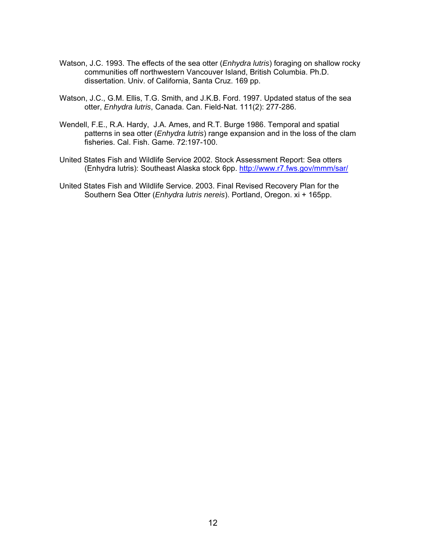- Watson, J.C. 1993. The effects of the sea otter (*Enhydra lutris*) foraging on shallow rocky communities off northwestern Vancouver Island, British Columbia. Ph.D. dissertation. Univ. of California, Santa Cruz. 169 pp.
- Watson, J.C., G.M. Ellis, T.G. Smith, and J.K.B. Ford. 1997. Updated status of the sea otter, *Enhydra lutris*, Canada. Can. Field-Nat. 111(2): 277-286.
- Wendell, F.E., R.A. Hardy, J.A. Ames, and R.T. Burge 1986. Temporal and spatial patterns in sea otter (*Enhydra lutris*) range expansion and in the loss of the clam fisheries. Cal. Fish. Game. 72:197-100.
- United States Fish and Wildlife Service 2002. Stock Assessment Report: Sea otters (Enhydra lutris): Southeast Alaska stock 6pp. http://www.r7.fws.gov/mmm/sar/
- United States Fish and Wildlife Service. 2003. Final Revised Recovery Plan for the Southern Sea Otter (*Enhydra lutris nereis*). Portland, Oregon. xi + 165pp.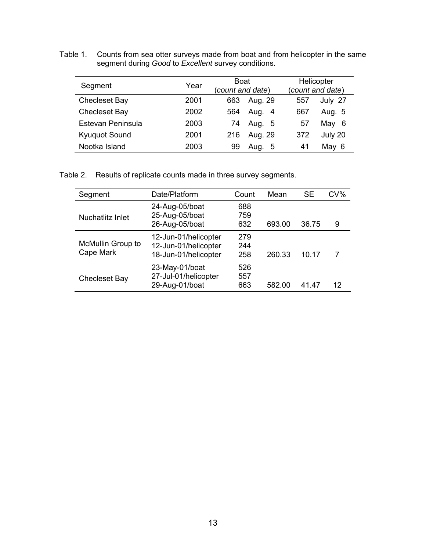Table 1.Counts from sea otter surveys made from boat and from helicopter in the same segment during *Good* to *Excellent* survey conditions.

| Segment              | Year | Boat<br>(count and date) | Helicopter<br>(count and date) |
|----------------------|------|--------------------------|--------------------------------|
| <b>Checleset Bay</b> | 2001 | Aug. 29<br>663           | July 27<br>557                 |
| <b>Checleset Bay</b> | 2002 | Aug. 4<br>564            | Aug. 5<br>667                  |
| Estevan Peninsula    | 2003 | Aug. 5<br>74             | May 6<br>57                    |
| <b>Kyuquot Sound</b> | 2001 | Aug. 29<br>216           | July 20<br>372                 |
| Nootka Island        | 2003 | Aug. 5<br>99             | May 6<br>41                    |

Table 2. Results of replicate counts made in three survey segments.

| Segment                        | Date/Platform                                                        | Count             | Mean   | <b>SE</b> | CV% |
|--------------------------------|----------------------------------------------------------------------|-------------------|--------|-----------|-----|
| Nuchatlitz Inlet               | 24-Aug-05/boat<br>25-Aug-05/boat<br>26-Aug-05/boat                   | 688<br>759<br>632 | 693.00 | 36.75     | 9   |
| McMullin Group to<br>Cape Mark | 12-Jun-01/helicopter<br>12-Jun-01/helicopter<br>18-Jun-01/helicopter | 279<br>244<br>258 | 260.33 | 10.17     |     |
| <b>Checleset Bay</b>           | 23-May-01/boat<br>27-Jul-01/helicopter<br>29-Aug-01/boat             | 526<br>557<br>663 | 582.00 | 41.47     | 12  |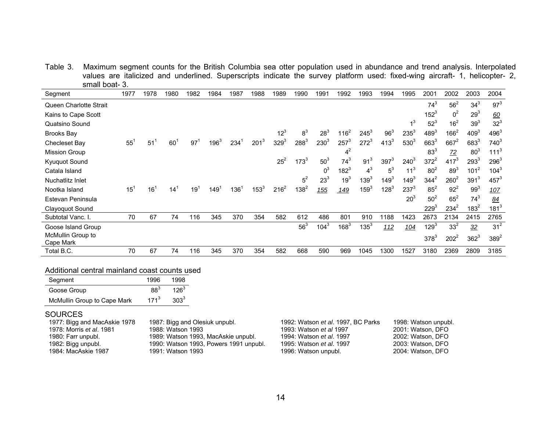Table 3. Maximum segment counts for the British Columbia sea otter population used in abundance and trend analysis. Interpolated values are italicized and underlined. Superscripts indicate the survey platform used: fixed-wing aircraft- 1, helicopter- 2, small boat- 3.  $\overline{\phantom{0}}$ 

| Segment                        | 1977     | 1978            | 1980 | 1982 | 1984    | 1987 | 1988      | 1989      | 1990      | 1991            | 1992            | 1993            | 1994            | 1995             | 2001            | 2002            | 2003             | 2004             |
|--------------------------------|----------|-----------------|------|------|---------|------|-----------|-----------|-----------|-----------------|-----------------|-----------------|-----------------|------------------|-----------------|-----------------|------------------|------------------|
| Queen Charlotte Strait         |          |                 |      |      |         |      |           |           |           |                 |                 |                 |                 |                  | $74^{3}$        | $56^2$          | $34^{3}$         | $97^{3}$         |
| Kains to Cape Scott            |          |                 |      |      |         |      |           |           |           |                 |                 |                 |                 |                  | $152^{3}$       | 0 <sup>2</sup>  | 29 <sup>3</sup>  | 60               |
| Quatsino Sound                 |          |                 |      |      |         |      |           |           |           |                 |                 |                 |                 | 4 <sup>3</sup>   | $52^3$          | 16 <sup>2</sup> | 39 <sup>3</sup>  | $32^3$           |
| <b>Brooks Bay</b>              |          |                 |      |      |         |      |           | $12^3$    | $8^3$     | $28^3$          | $116^2$         | $245^3$         | 96 <sup>3</sup> | $235^3$          | $489^{3}$       | $166^2$         | 409 <sup>3</sup> | $496^{3}$        |
| Checleset Bay                  | $55^1$   | 51              | 60   | 97   | $196^3$ | 234  | $201^3$   | $329^{3}$ | $288^{3}$ | $230^{3}$       | $257^3$         | $272^3$         | $413^{3}$       | 530 <sup>3</sup> | $663^{3}$       | $667^2$         | $683^{3}$        | $740^{3}$        |
| <b>Mission Group</b>           |          |                 |      |      |         |      |           |           |           |                 | 4 <sup>2</sup>  |                 |                 |                  | 83 <sup>3</sup> | $Z^2$           | 80 <sup>3</sup>  | 111 <sup>3</sup> |
| Kyuquot Sound                  |          |                 |      |      |         |      |           | $25^2$    | $173^{3}$ | $50^3$          | $74^{3}$        | 91 <sup>3</sup> | $397^{3}$       | $240^3$          | $372^2$         | $417^{3}$       | $293^3$          | $296^3$          |
| Catala Island                  |          |                 |      |      |         |      |           |           |           | $0^3$           | $182^{3}$       | $4^3$           | $5^3$           | 11 <sup>3</sup>  | 80 <sup>2</sup> | $89^3$          | $101^2$          | $104^3$          |
| Nuchatlitz Inlet               |          |                 |      |      |         |      |           |           | $5^2$     | 23 <sup>3</sup> | 19 <sup>3</sup> | $139^{3}$       | $149^{3}$       | $149^{3}$        | $344^2$         | $260^2$         | 391 <sup>3</sup> | $457^{3}$        |
| Nootka Island                  | $15^{1}$ | 16 <sup>1</sup> | 14   | 19   | 149     | 136  | $153^{3}$ | $216^2$   | $138^{2}$ | 155             | 149             | $159^{3}$       | $128^{3}$       | $237^{3}$        | $85^2$          | $92^2$          | 99 <sup>3</sup>  | 107              |
| Estevan Peninsula              |          |                 |      |      |         |      |           |           |           |                 |                 |                 |                 | 20 <sup>3</sup>  | 50 <sup>2</sup> | $65^2$          | $74^{3}$         | 84               |
| Clayoquot Sound                |          |                 |      |      |         |      |           |           |           |                 |                 |                 |                 |                  | $229^{3}$       | $234^2$         | $183^2$          | $181^3$          |
| Subtotal Vanc. I.              | 70       | 67              | 74   | 116  | 345     | 370  | 354       | 582       | 612       | 486             | 801             | 910             | 1188            | 1423             | 2673            | 2134            | 2415             | 2765             |
| Goose Island Group             |          |                 |      |      |         |      |           |           | $56^3$    | $104^3$         | $168^{3}$       | $135^{3}$       | 112             | 104              | $129^{3}$       | 33 <sup>2</sup> | 32               | 31 <sup>2</sup>  |
| McMullin Group to<br>Cape Mark |          |                 |      |      |         |      |           |           |           |                 |                 |                 |                 |                  | $378^{3}$       | $202^2$         | $362^3$          | $389^{2}$        |
| Total B.C.                     | 70       | 67              | 74   | 116  | 345     | 370  | 354       | 582       | 668       | 590             | 969             | 1045            | 1300            | 1527             | 3180            | 2369            | 2809             | 3185             |

#### Additional central mainland coast counts used

| Segment                     | 1996            | 1998      |
|-----------------------------|-----------------|-----------|
| Goose Group                 | 88 <sup>3</sup> | $126^3$   |
| McMullin Group to Cape Mark | $171^3$         | $303^{3}$ |

#### SOURCES

| 1977: Bigg and MacAskie 1978    | 1987: Bigg and Olesiuk unpubl.         | 1992: Watson et al. 1997, BC Parks | 1998: Watson unpubl. |
|---------------------------------|----------------------------------------|------------------------------------|----------------------|
| 1978: Morris <i>et al.</i> 1981 | 1988: Watson 1993                      | 1993: Watson et al 1997            | 2001: Watson, DFO    |
| 1980: Farr unpubl.              | 1989: Watson 1993, MacAskie unpubl.    | 1994: Watson et al. 1997           | 2002: Watson, DFO    |
| 1982: Bigg unpubl.              | 1990: Watson 1993, Powers 1991 unpubl. | 1995: Watson et al. 1997           | 2003: Watson, DFO    |
| 1984: MacAskie 1987             | 1991: Watson 1993                      | 1996: Watson unpubl.               | 2004: Watson, DFO    |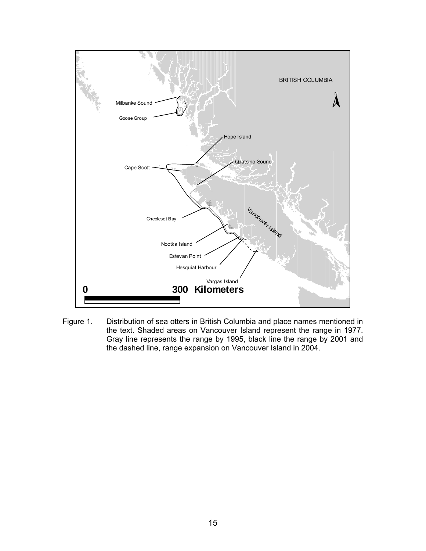

Figure 1. Distribution of sea otters in British Columbia and place names mentioned in the text. Shaded areas on Vancouver Island represent the range in 1977. Gray line represents the range by 1995, black line the range by 2001 and the dashed line, range expansion on Vancouver Island in 2004.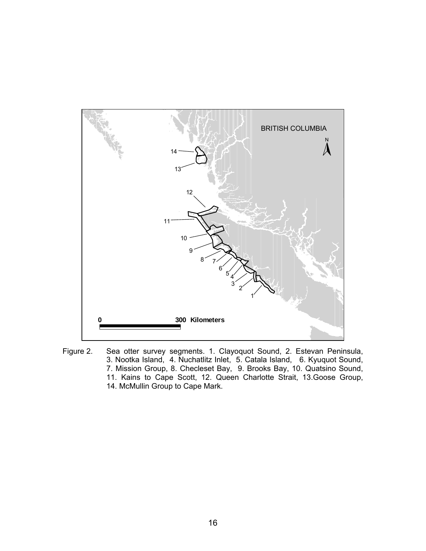

Figure 2. Sea otter survey segments. 1. Clayoquot Sound, 2. Estevan Peninsula, 3. Nootka Island, 4. Nuchatlitz Inlet, 5. Catala Island, 6. Kyuquot Sound, 7. Mission Group, 8. Checleset Bay, 9. Brooks Bay, 10. Quatsino Sound, 11. Kains to Cape Scott, 12. Queen Charlotte Strait, 13.Goose Group, 14. McMullin Group to Cape Mark.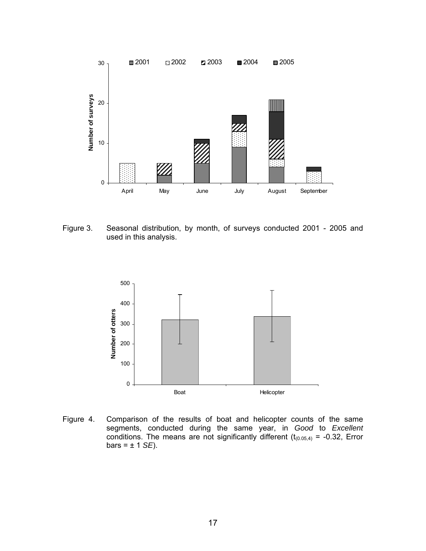

Figure 3. Seasonal distribution, by month, of surveys conducted 2001 - 2005 and used in this analysis.



Figure 4. Comparison of the results of boat and helicopter counts of the same segments, conducted during the same year, in *Good* to *Excellent* conditions. The means are not significantly different ( $t_{(0.05,4)}$  = -0.32, Error  $bars = ± 1$  *SE*).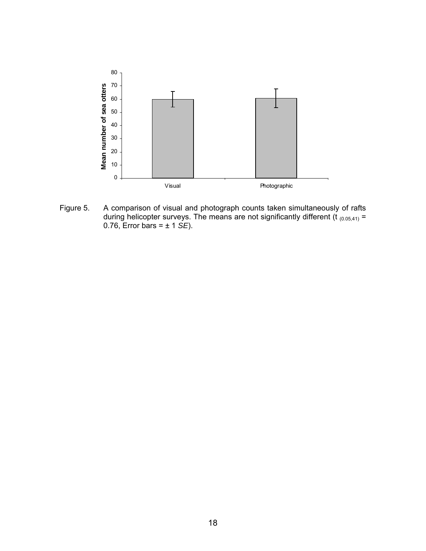

Figure 5. A comparison of visual and photograph counts taken simultaneously of rafts during helicopter surveys. The means are not significantly different (t  $_{(0.05,41)}$  = 0.76, Error bars = ± 1 *SE*).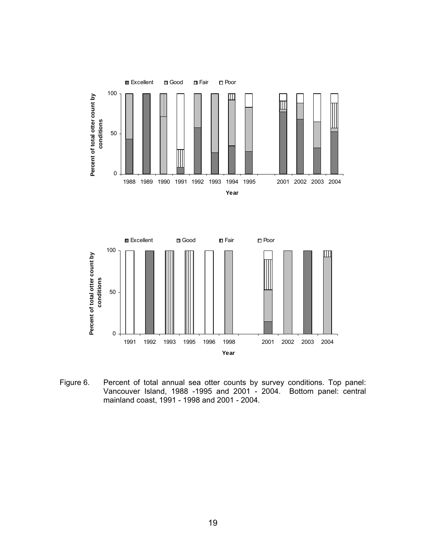



Figure 6. Percent of total annual sea otter counts by survey conditions. Top panel: Vancouver Island, 1988 -1995 and 2001 - 2004. Bottom panel: central mainland coast, 1991 - 1998 and 2001 - 2004.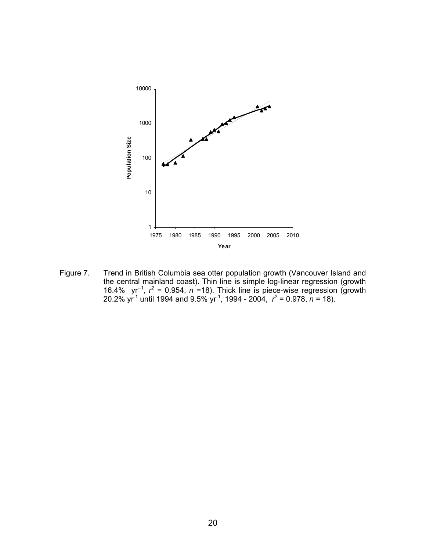

Figure 7. Trend in British Columbia sea otter population growth (Vancouver Island and the central mainland coast). Thin line is simple log-linear regression (growth 16.4%  $yr^{-1}$ ,  $r^2 = 0.954$ ,  $n = 18$ ). Thick line is piece-wise regression (growth 20.2% yr<sup>-1</sup> until 1994 and 9.5% yr<sup>-1</sup>, 1994 - 2004,  $r^2 = 0.978$ ,  $n = 18$ ).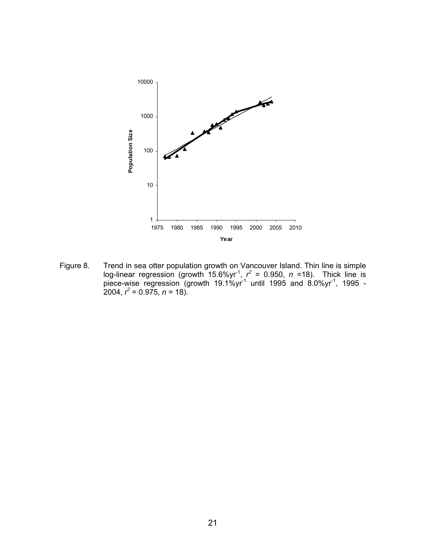

Figure 8. Trend in sea otter population growth on Vancouver Island. Thin line is simple log-linear regression (growth 15.6%yr<sup>-1</sup>,  $r^2$  = 0.950,  $n$  =18). Thick line is piece-wise regression (growth 19.1%yr<sup>-1</sup> until 1995 and 8.0%yr<sup>-1</sup>, 1995 - $2004, r^2 = 0.975, n = 18.$